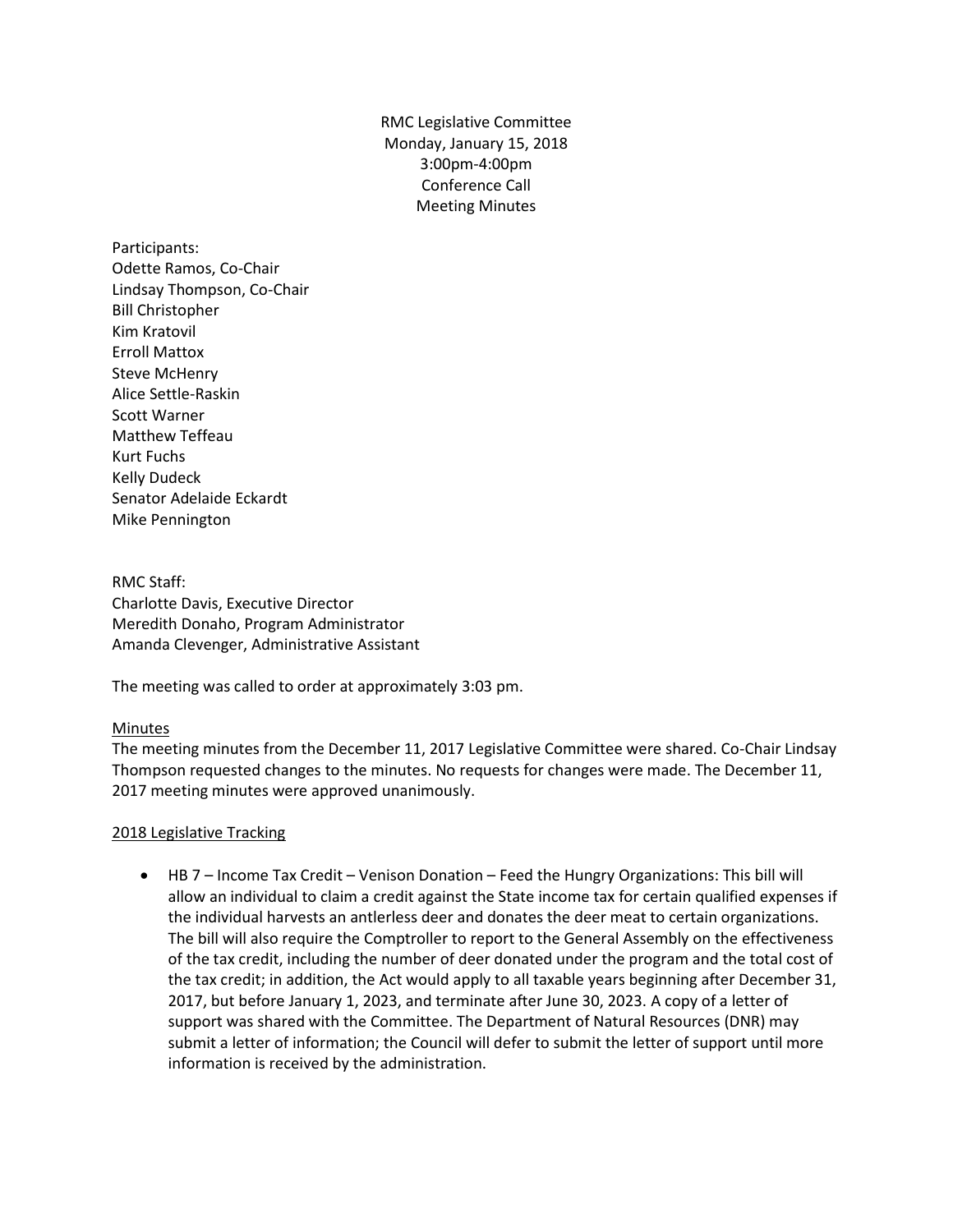RMC Legislative Committee Monday, January 15, 2018 3:00pm-4:00pm Conference Call Meeting Minutes

Participants: Odette Ramos, Co-Chair Lindsay Thompson, Co-Chair Bill Christopher Kim Kratovil Erroll Mattox Steve McHenry Alice Settle-Raskin Scott Warner Matthew Teffeau Kurt Fuchs Kelly Dudeck Senator Adelaide Eckardt Mike Pennington

RMC Staff: Charlotte Davis, Executive Director Meredith Donaho, Program Administrator Amanda Clevenger, Administrative Assistant

The meeting was called to order at approximately 3:03 pm.

## Minutes

The meeting minutes from the December 11, 2017 Legislative Committee were shared. Co-Chair Lindsay Thompson requested changes to the minutes. No requests for changes were made. The December 11, 2017 meeting minutes were approved unanimously.

## 2018 Legislative Tracking

 HB 7 – Income Tax Credit – Venison Donation – Feed the Hungry Organizations: This bill will allow an individual to claim a credit against the State income tax for certain qualified expenses if the individual harvests an antlerless deer and donates the deer meat to certain organizations. The bill will also require the Comptroller to report to the General Assembly on the effectiveness of the tax credit, including the number of deer donated under the program and the total cost of the tax credit; in addition, the Act would apply to all taxable years beginning after December 31, 2017, but before January 1, 2023, and terminate after June 30, 2023. A copy of a letter of support was shared with the Committee. The Department of Natural Resources (DNR) may submit a letter of information; the Council will defer to submit the letter of support until more information is received by the administration.